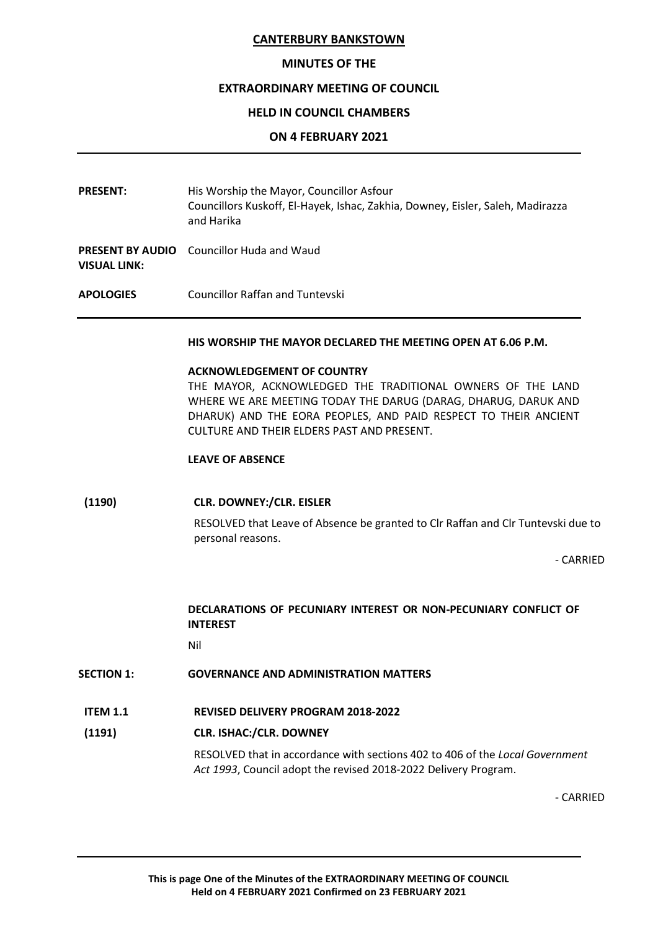## MINUTES OF THE

#### EXTRAORDINARY MEETING OF COUNCIL

## HELD IN COUNCIL CHAMBERS

### ON 4 FEBRUARY 2021

- PRESENT: His Worship the Mayor, Councillor Asfour Councillors Kuskoff, El-Hayek, Ishac, Zakhia, Downey, Eisler, Saleh, Madirazza and Harika
- PRESENT BY AUDIO Councillor Huda and Waud VISUAL LINK:
- APOLOGIES Councillor Raffan and Tuntevski

#### HIS WORSHIP THE MAYOR DECLARED THE MEETING OPEN AT 6.06 P.M.

#### ACKNOWLEDGEMENT OF COUNTRY

THE MAYOR, ACKNOWLEDGED THE TRADITIONAL OWNERS OF THE LAND WHERE WE ARE MEETING TODAY THE DARUG (DARAG, DHARUG, DARUK AND DHARUK) AND THE EORA PEOPLES, AND PAID RESPECT TO THEIR ANCIENT CULTURE AND THEIR ELDERS PAST AND PRESENT.

#### LEAVE OF ABSENCE

#### (1190) CLR. DOWNEY:/CLR. EISLER

RESOLVED that Leave of Absence be granted to Clr Raffan and Clr Tuntevski due to personal reasons.

- CARRIED

# DECLARATIONS OF PECUNIARY INTEREST OR NON-PECUNIARY CONFLICT OF INTEREST

Nil

## SECTION 1: GOVERNANCE AND ADMINISTRATION MATTERS

ITEM 1.1 REVISED DELIVERY PROGRAM 2018-2022

# (1191) CLR. ISHAC:/CLR. DOWNEY

RESOLVED that in accordance with sections 402 to 406 of the Local Government Act 1993, Council adopt the revised 2018-2022 Delivery Program.

- CARRIED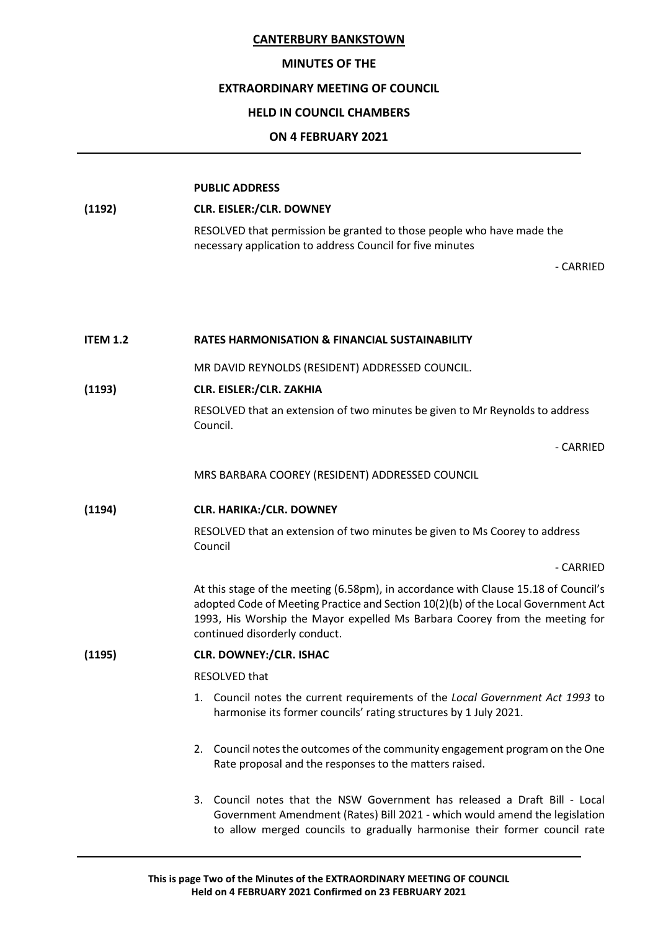## MINUTES OF THE

### EXTRAORDINARY MEETING OF COUNCIL

## HELD IN COUNCIL CHAMBERS

## ON 4 FEBRUARY 2021

| (1192) | <b>CLR. EISLER:/CLR. DOWNEY</b>                                       |
|--------|-----------------------------------------------------------------------|
|        | RESOLVED that permission be granted to those people who have made the |
|        | necessary application to address Council for five minutes             |

- CARRIED

| <b>ITEM 1.2</b> | <b>RATES HARMONISATION &amp; FINANCIAL SUSTAINABILITY</b>                                                                                                                                                                                                                                |
|-----------------|------------------------------------------------------------------------------------------------------------------------------------------------------------------------------------------------------------------------------------------------------------------------------------------|
|                 | MR DAVID REYNOLDS (RESIDENT) ADDRESSED COUNCIL.                                                                                                                                                                                                                                          |
| (1193)          | <b>CLR. EISLER:/CLR. ZAKHIA</b>                                                                                                                                                                                                                                                          |
|                 | RESOLVED that an extension of two minutes be given to Mr Reynolds to address<br>Council.                                                                                                                                                                                                 |
|                 | - CARRIED                                                                                                                                                                                                                                                                                |
|                 | MRS BARBARA COOREY (RESIDENT) ADDRESSED COUNCIL                                                                                                                                                                                                                                          |
| (1194)          | <b>CLR. HARIKA:/CLR. DOWNEY</b>                                                                                                                                                                                                                                                          |
|                 | RESOLVED that an extension of two minutes be given to Ms Coorey to address<br>Council                                                                                                                                                                                                    |
|                 | - CARRIED                                                                                                                                                                                                                                                                                |
|                 | At this stage of the meeting (6.58pm), in accordance with Clause 15.18 of Council's<br>adopted Code of Meeting Practice and Section 10(2)(b) of the Local Government Act<br>1993, His Worship the Mayor expelled Ms Barbara Coorey from the meeting for<br>continued disorderly conduct. |
| (1195)          | <b>CLR. DOWNEY:/CLR. ISHAC</b>                                                                                                                                                                                                                                                           |
|                 | RESOLVED that                                                                                                                                                                                                                                                                            |
|                 | 1. Council notes the current requirements of the Local Government Act 1993 to<br>harmonise its former councils' rating structures by 1 July 2021.                                                                                                                                        |
|                 | 2. Council notes the outcomes of the community engagement program on the One<br>Rate proposal and the responses to the matters raised.                                                                                                                                                   |
|                 | 3. Council notes that the NSW Government has released a Draft Bill - Local<br>Government Amendment (Rates) Bill 2021 - which would amend the legislation<br>to allow merged councils to gradually harmonise their former council rate                                                    |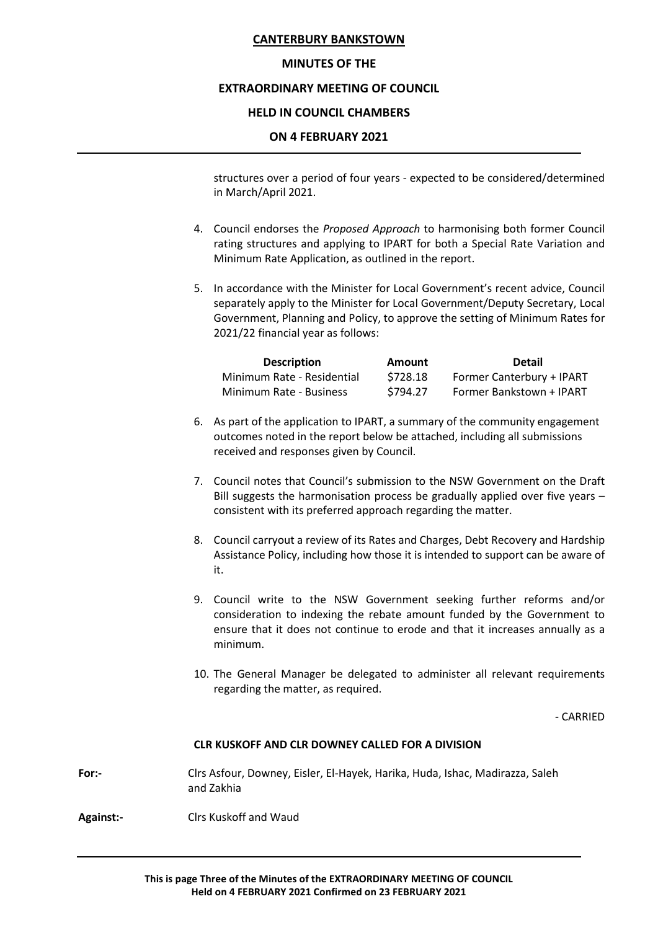## MINUTES OF THE

# EXTRAORDINARY MEETING OF COUNCIL

## HELD IN COUNCIL CHAMBERS

### ON 4 FEBRUARY 2021

structures over a period of four years - expected to be considered/determined in March/April 2021.

- 4. Council endorses the Proposed Approach to harmonising both former Council rating structures and applying to IPART for both a Special Rate Variation and Minimum Rate Application, as outlined in the report.
- 5. In accordance with the Minister for Local Government's recent advice, Council separately apply to the Minister for Local Government/Deputy Secretary, Local Government, Planning and Policy, to approve the setting of Minimum Rates for 2021/22 financial year as follows:

| <b>Description</b>         | <b>Amount</b> | <b>Detail</b>             |
|----------------------------|---------------|---------------------------|
| Minimum Rate - Residential | \$728.18      | Former Canterbury + IPART |
| Minimum Rate - Business    | \$794.27      | Former Bankstown + IPART  |

- 6. As part of the application to IPART, a summary of the community engagement outcomes noted in the report below be attached, including all submissions received and responses given by Council.
- 7. Council notes that Council's submission to the NSW Government on the Draft Bill suggests the harmonisation process be gradually applied over five years – consistent with its preferred approach regarding the matter.
- 8. Council carryout a review of its Rates and Charges, Debt Recovery and Hardship Assistance Policy, including how those it is intended to support can be aware of it.
- 9. Council write to the NSW Government seeking further reforms and/or consideration to indexing the rebate amount funded by the Government to ensure that it does not continue to erode and that it increases annually as a minimum.
- 10. The General Manager be delegated to administer all relevant requirements regarding the matter, as required.

- CARRIED

#### CLR KUSKOFF AND CLR DOWNEY CALLED FOR A DIVISION

- For:- Clrs Asfour, Downey, Eisler, El-Hayek, Harika, Huda, Ishac, Madirazza, Saleh and Zakhia
- Against:- Clrs Kuskoff and Waud